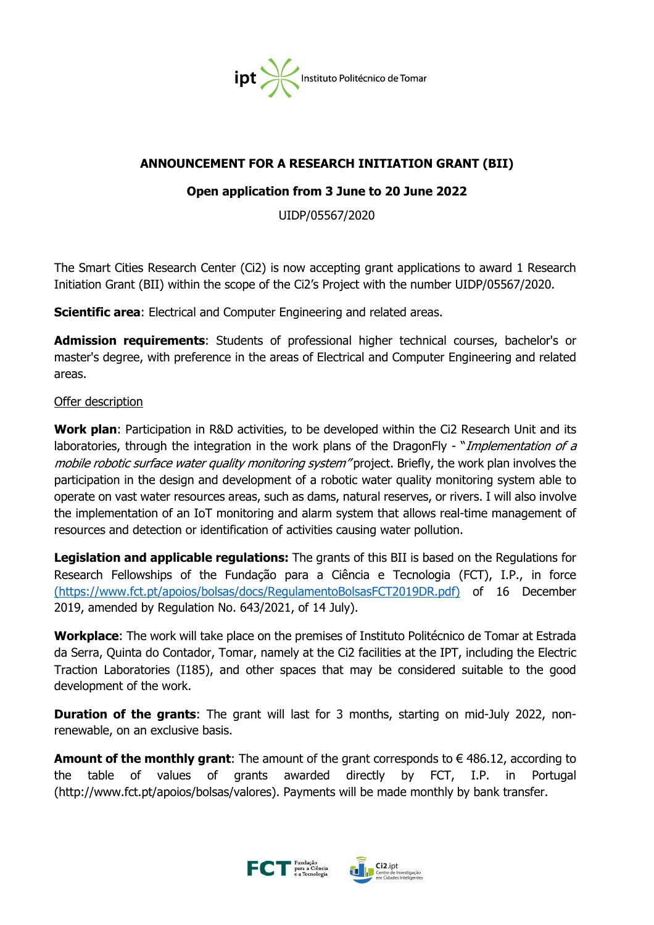

## **ANNOUNCEMENT FOR A RESEARCH INITIATION GRANT (BII)**

## **Open application from 3 June to 20 June 2022**

UIDP/05567/2020

The Smart Cities Research Center (Ci2) is now accepting grant applications to award 1 Research Initiation Grant (BII) within the scope of the Ci2's Project with the number UIDP/05567/2020.

**Scientific area:** Electrical and Computer Engineering and related areas.

**Admission requirements**: Students of professional higher technical courses, bachelor's or master's degree, with preference in the areas of Electrical and Computer Engineering and related areas.

## Offer description

**Work plan**: Participation in R&D activities, to be developed within the Ci2 Research Unit and its laboratories, through the integration in the work plans of the DragonFly - "Implementation of a mobile robotic surface water quality monitoring system" project. Briefly, the work plan involves the participation in the design and development of a robotic water quality monitoring system able to operate on vast water resources areas, such as dams, natural reserves, or rivers. I will also involve the implementation of an IoT monitoring and alarm system that allows real-time management of resources and detection or identification of activities causing water pollution.

**Legislation and applicable regulations:** The grants of this BII is based on the Regulations for Research Fellowships of the Fundação para a Ciência e Tecnologia (FCT), I.P., in force (https://www.fct.pt/apoios/bolsas/docs/RegulamentoBolsasFCT2019DR.pdf) of 16 December 2019, amended by Regulation No. 643/2021, of 14 July).

**Workplace**: The work will take place on the premises of Instituto Politécnico de Tomar at Estrada da Serra, Quinta do Contador, Tomar, namely at the Ci2 facilities at the IPT, including the Electric Traction Laboratories (I185), and other spaces that may be considered suitable to the good development of the work.

**Duration of the grants**: The grant will last for 3 months, starting on mid-July 2022, nonrenewable, on an exclusive basis.

**Amount of the monthly grant**: The amount of the grant corresponds to € 486.12, according to the table of values of grants awarded directly by FCT, I.P. in Portugal (http://www.fct.pt/apoios/bolsas/valores). Payments will be made monthly by bank transfer.



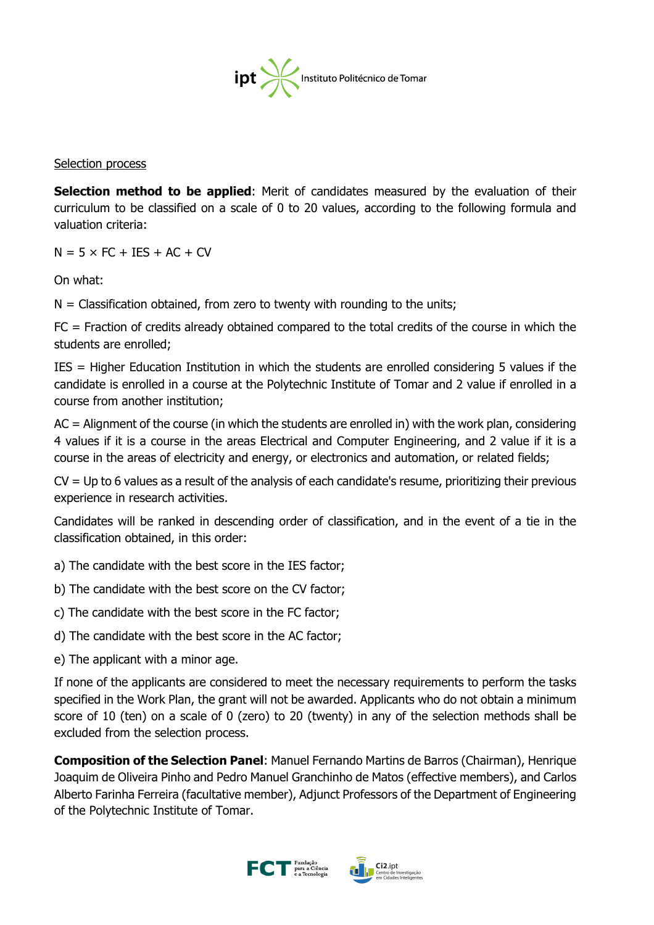

Selection process

**Selection method to be applied**: Merit of candidates measured by the evaluation of their curriculum to be classified on a scale of 0 to 20 values, according to the following formula and valuation criteria:

 $N = 5 \times FC + IES + AC + CV$ 

On what:

 $N =$  Classification obtained, from zero to twenty with rounding to the units;

FC = Fraction of credits already obtained compared to the total credits of the course in which the students are enrolled;

IES = Higher Education Institution in which the students are enrolled considering 5 values if the candidate is enrolled in a course at the Polytechnic Institute of Tomar and 2 value if enrolled in a course from another institution;

AC = Alignment of the course (in which the students are enrolled in) with the work plan, considering 4 values if it is a course in the areas Electrical and Computer Engineering, and 2 value if it is a course in the areas of electricity and energy, or electronics and automation, or related fields;

 $CV = Up$  to 6 values as a result of the analysis of each candidate's resume, prioritizing their previous experience in research activities.

Candidates will be ranked in descending order of classification, and in the event of a tie in the classification obtained, in this order:

- a) The candidate with the best score in the IES factor;
- b) The candidate with the best score on the CV factor;
- c) The candidate with the best score in the FC factor;
- d) The candidate with the best score in the AC factor;
- e) The applicant with a minor age.

If none of the applicants are considered to meet the necessary requirements to perform the tasks specified in the Work Plan, the grant will not be awarded. Applicants who do not obtain a minimum score of 10 (ten) on a scale of 0 (zero) to 20 (twenty) in any of the selection methods shall be excluded from the selection process.

**Composition of the Selection Panel**: Manuel Fernando Martins de Barros (Chairman), Henrique Joaquim de Oliveira Pinho and Pedro Manuel Granchinho de Matos (effective members), and Carlos Alberto Farinha Ferreira (facultative member), Adjunct Professors of the Department of Engineering of the Polytechnic Institute of Tomar.